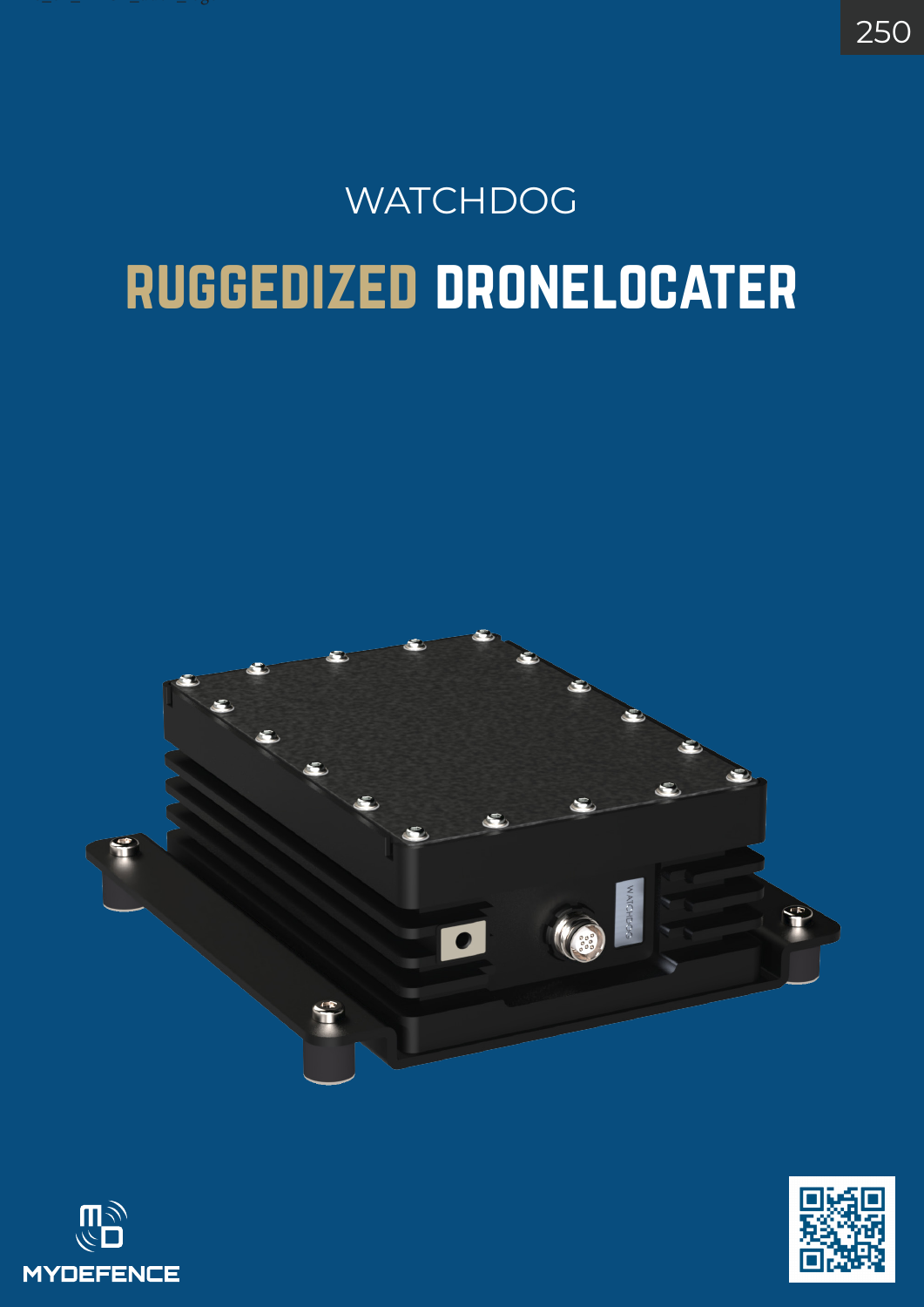## ruggedized dronelocater **WATCHDOG**